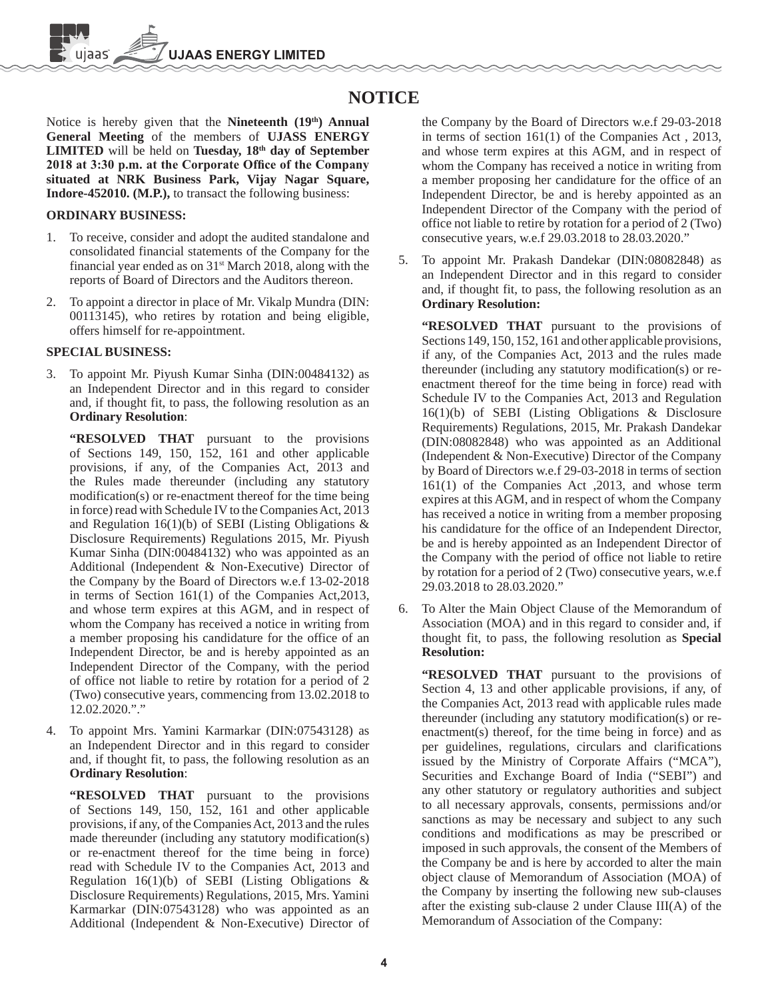**JAAS ENER** 

# **NOTICE**

Notice is hereby given that the **Nineteenth** (19<sup>th</sup>) Annual **General Meeting** of the members of **UJASS ENERGY**  LIMITED will be held on Tuesday, 18<sup>th</sup> day of September 2018 at 3:30 p.m. at the Corporate Office of the Company **situated at NRK Business Park, Vijay Nagar Square, Indore-452010. (M.P.),** to transact the following business:

#### **ORDINARY BUSINESS:**

- 1. To receive, consider and adopt the audited standalone and consolidated financial statements of the Company for the financial year ended as on  $31<sup>st</sup>$  March 2018, along with the reports of Board of Directors and the Auditors thereon.
- 2. To appoint a director in place of Mr. Vikalp Mundra (DIN: 00113145), who retires by rotation and being eligible, offers himself for re-appointment.

#### **SPECIAL BUSINESS:**

- 3. To appoint Mr. Piyush Kumar Sinha (DIN:00484132) as an Independent Director and in this regard to consider and, if thought fit, to pass, the following resolution as an **Ordinary Resolution**:
	- **"RESOLVED THAT** pursuant to the provisions of Sections 149, 150, 152, 161 and other applicable provisions, if any, of the Companies Act, 2013 and the Rules made thereunder (including any statutory modification(s) or re-enactment thereof for the time being in force) read with Schedule IV to the Companies Act, 2013 and Regulation  $16(1)(b)$  of SEBI (Listing Obligations & Disclosure Requirements) Regulations 2015, Mr. Piyush Kumar Sinha (DIN:00484132) who was appointed as an Additional (Independent & Non-Executive) Director of the Company by the Board of Directors w.e.f 13-02-2018 in terms of Section 161(1) of the Companies Act,2013, and whose term expires at this AGM, and in respect of whom the Company has received a notice in writing from a member proposing his candidature for the office of an Independent Director, be and is hereby appointed as an Independent Director of the Company, with the period of office not liable to retire by rotation for a period of 2 (Two) consecutive years, commencing from 13.02.2018 to 12.02.2020."."
- 4. To appoint Mrs. Yamini Karmarkar (DIN:07543128) as an Independent Director and in this regard to consider and, if thought fit, to pass, the following resolution as an **Ordinary Resolution**:

**"RESOLVED THAT** pursuant to the provisions of Sections 149, 150, 152, 161 and other applicable provisions, if any, of the Companies Act, 2013 and the rules made thereunder (including any statutory modification(s) or re-enactment thereof for the time being in force) read with Schedule IV to the Companies Act, 2013 and Regulation  $16(1)(b)$  of SEBI (Listing Obligations & Disclosure Requirements) Regulations, 2015, Mrs. Yamini Karmarkar (DIN:07543128) who was appointed as an Additional (Independent & Non-Executive) Director of

the Company by the Board of Directors w.e.f 29-03-2018 in terms of section 161(1) of the Companies Act , 2013, and whose term expires at this AGM, and in respect of whom the Company has received a notice in writing from a member proposing her candidature for the office of an Independent Director, be and is hereby appointed as an Independent Director of the Company with the period of office not liable to retire by rotation for a period of 2 (Two) consecutive years, w.e.f 29.03.2018 to 28.03.2020."

5. To appoint Mr. Prakash Dandekar (DIN:08082848) as an Independent Director and in this regard to consider and, if thought fit, to pass, the following resolution as an **Ordinary Resolution:**

**"RESOLVED THAT** pursuant to the provisions of Sections 149, 150, 152, 161 and other applicable provisions, if any, of the Companies Act, 2013 and the rules made thereunder (including any statutory modification(s) or reenactment thereof for the time being in force) read with Schedule IV to the Companies Act, 2013 and Regulation 16(1)(b) of SEBI (Listing Obligations & Disclosure Requirements) Regulations, 2015, Mr. Prakash Dandekar (DIN:08082848) who was appointed as an Additional (Independent & Non-Executive) Director of the Company by Board of Directors w.e.f 29-03-2018 in terms of section 161(1) of the Companies Act ,2013, and whose term expires at this AGM, and in respect of whom the Company has received a notice in writing from a member proposing his candidature for the office of an Independent Director, be and is hereby appointed as an Independent Director of the Company with the period of office not liable to retire by rotation for a period of 2 (Two) consecutive years, w.e.f 29.03.2018 to 28.03.2020."

6. To Alter the Main Object Clause of the Memorandum of Association (MOA) and in this regard to consider and, if thought fit, to pass, the following resolution as **Special Resolution:**

**"RESOLVED THAT** pursuant to the provisions of Section 4, 13 and other applicable provisions, if any, of the Companies Act, 2013 read with applicable rules made thereunder (including any statutory modification(s) or reenactment(s) thereof, for the time being in force) and as per guidelines, regulations, circulars and clarifications issued by the Ministry of Corporate Affairs ("MCA"), Securities and Exchange Board of India ("SEBI") and any other statutory or regulatory authorities and subject to all necessary approvals, consents, permissions and/or sanctions as may be necessary and subject to any such conditions and modifications as may be prescribed or imposed in such approvals, the consent of the Members of the Company be and is here by accorded to alter the main object clause of Memorandum of Association (MOA) of the Company by inserting the following new sub-clauses after the existing sub-clause 2 under Clause III(A) of the Memorandum of Association of the Company: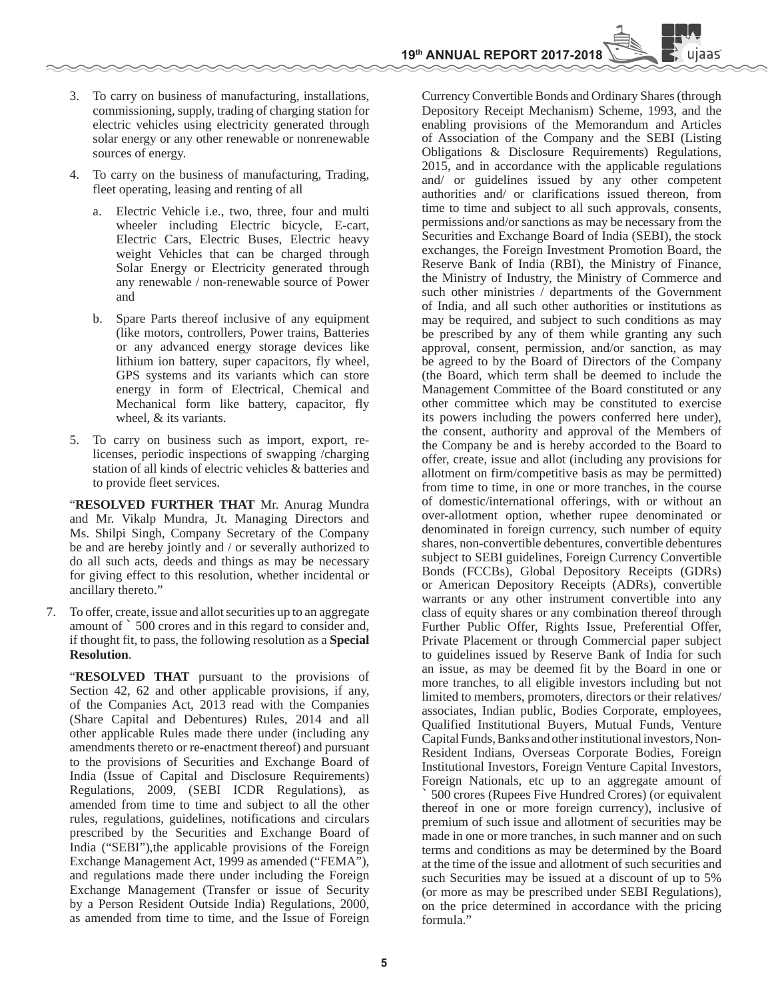uiaas

- 3. To carry on business of manufacturing, installations, commissioning, supply, trading of charging station for electric vehicles using electricity generated through solar energy or any other renewable or nonrenewable sources of energy.
- 4. To carry on the business of manufacturing, Trading, fleet operating, leasing and renting of all
	- a. Electric Vehicle i.e., two, three, four and multi wheeler including Electric bicycle, E-cart, Electric Cars, Electric Buses, Electric heavy weight Vehicles that can be charged through Solar Energy or Electricity generated through any renewable / non-renewable source of Power and
	- b. Spare Parts thereof inclusive of any equipment (like motors, controllers, Power trains, Batteries or any advanced energy storage devices like lithium ion battery, super capacitors, fly wheel, GPS systems and its variants which can store energy in form of Electrical, Chemical and Mechanical form like battery, capacitor, fly wheel, & its variants.
- 5. To carry on business such as import, export, relicenses, periodic inspections of swapping /charging station of all kinds of electric vehicles & batteries and to provide fleet services.

 "**RESOLVED FURTHER THAT** Mr. Anurag Mundra and Mr. Vikalp Mundra, Jt. Managing Directors and Ms. Shilpi Singh, Company Secretary of the Company be and are hereby jointly and / or severally authorized to do all such acts, deeds and things as may be necessary for giving effect to this resolution, whether incidental or ancillary thereto."

7. To offer, create, issue and allot securities up to an aggregate amount of ` 500 crores and in this regard to consider and, if thought fit, to pass, the following resolution as a **Special Resolution**.

"**RESOLVED THAT** pursuant to the provisions of Section 42, 62 and other applicable provisions, if any, of the Companies Act, 2013 read with the Companies (Share Capital and Debentures) Rules, 2014 and all other applicable Rules made there under (including any amendments thereto or re-enactment thereof) and pursuant to the provisions of Securities and Exchange Board of India (Issue of Capital and Disclosure Requirements) Regulations, 2009, (SEBI ICDR Regulations), as amended from time to time and subject to all the other rules, regulations, guidelines, notifications and circulars prescribed by the Securities and Exchange Board of India ("SEBI"),the applicable provisions of the Foreign Exchange Management Act, 1999 as amended ("FEMA"), and regulations made there under including the Foreign Exchange Management (Transfer or issue of Security by a Person Resident Outside India) Regulations, 2000, as amended from time to time, and the Issue of Foreign

Currency Convertible Bonds and Ordinary Shares (through Depository Receipt Mechanism) Scheme, 1993, and the enabling provisions of the Memorandum and Articles of Association of the Company and the SEBI (Listing Obligations & Disclosure Requirements) Regulations, 2015, and in accordance with the applicable regulations and/ or guidelines issued by any other competent authorities and/ or clarifications issued thereon, from time to time and subject to all such approvals, consents, permissions and/or sanctions as may be necessary from the Securities and Exchange Board of India (SEBI), the stock exchanges, the Foreign Investment Promotion Board, the Reserve Bank of India (RBI), the Ministry of Finance, the Ministry of Industry, the Ministry of Commerce and such other ministries / departments of the Government of India, and all such other authorities or institutions as may be required, and subject to such conditions as may be prescribed by any of them while granting any such approval, consent, permission, and/or sanction, as may be agreed to by the Board of Directors of the Company (the Board, which term shall be deemed to include the Management Committee of the Board constituted or any other committee which may be constituted to exercise its powers including the powers conferred here under), the consent, authority and approval of the Members of the Company be and is hereby accorded to the Board to offer, create, issue and allot (including any provisions for allotment on firm/competitive basis as may be permitted) from time to time, in one or more tranches, in the course of domestic/international offerings, with or without an over-allotment option, whether rupee denominated or denominated in foreign currency, such number of equity shares, non-convertible debentures, convertible debentures subject to SEBI guidelines, Foreign Currency Convertible Bonds (FCCBs), Global Depository Receipts (GDRs) or American Depository Receipts (ADRs), convertible warrants or any other instrument convertible into any class of equity shares or any combination thereof through Further Public Offer, Rights Issue, Preferential Offer, Private Placement or through Commercial paper subject to guidelines issued by Reserve Bank of India for such an issue, as may be deemed fit by the Board in one or more tranches, to all eligible investors including but not limited to members, promoters, directors or their relatives/ associates, Indian public, Bodies Corporate, employees, Qualified Institutional Buyers, Mutual Funds, Venture Capital Funds, Banks and other institutional investors, Non-Resident Indians, Overseas Corporate Bodies, Foreign Institutional Investors, Foreign Venture Capital Investors, Foreign Nationals, etc up to an aggregate amount of

` 500 crores (Rupees Five Hundred Crores) (or equivalent thereof in one or more foreign currency), inclusive of premium of such issue and allotment of securities may be made in one or more tranches, in such manner and on such terms and conditions as may be determined by the Board at the time of the issue and allotment of such securities and such Securities may be issued at a discount of up to 5% (or more as may be prescribed under SEBI Regulations), on the price determined in accordance with the pricing formula."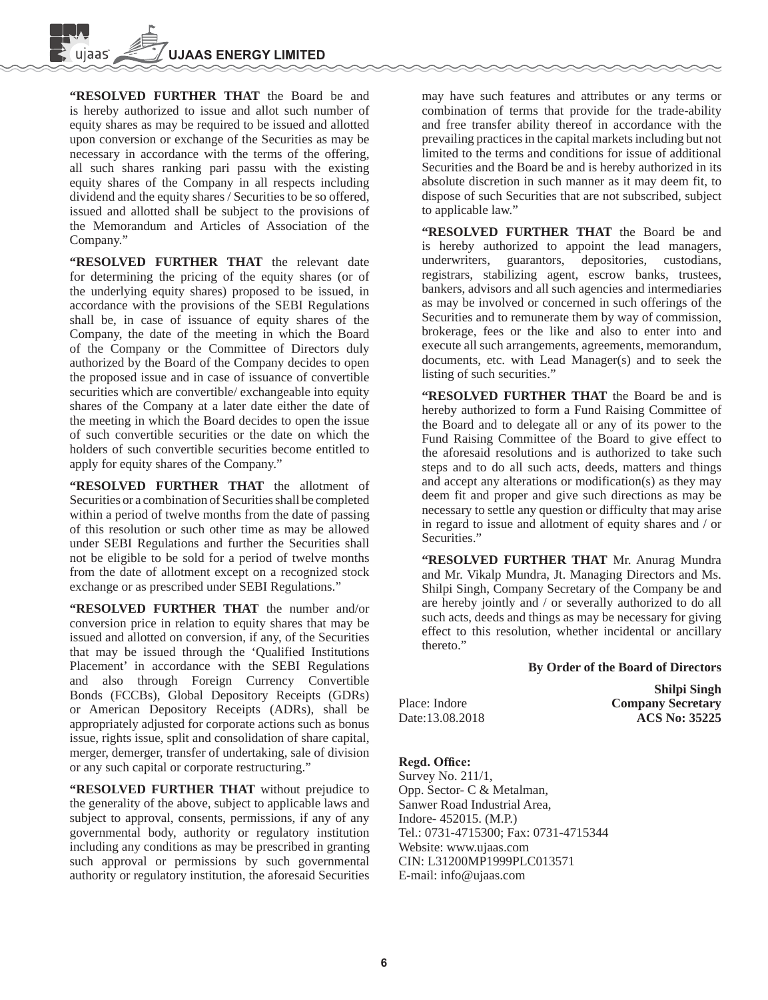**"RESOLVED FURTHER THAT** the Board be and is hereby authorized to issue and allot such number of equity shares as may be required to be issued and allotted upon conversion or exchange of the Securities as may be necessary in accordance with the terms of the offering, all such shares ranking pari passu with the existing equity shares of the Company in all respects including dividend and the equity shares / Securities to be so offered, issued and allotted shall be subject to the provisions of the Memorandum and Articles of Association of the Company."

 **"RESOLVED FURTHER THAT** the relevant date for determining the pricing of the equity shares (or of the underlying equity shares) proposed to be issued, in accordance with the provisions of the SEBI Regulations shall be, in case of issuance of equity shares of the Company, the date of the meeting in which the Board of the Company or the Committee of Directors duly authorized by the Board of the Company decides to open the proposed issue and in case of issuance of convertible securities which are convertible/ exchangeable into equity shares of the Company at a later date either the date of the meeting in which the Board decides to open the issue of such convertible securities or the date on which the holders of such convertible securities become entitled to apply for equity shares of the Company."

 **"RESOLVED FURTHER THAT** the allotment of Securities or a combination of Securities shall be completed within a period of twelve months from the date of passing of this resolution or such other time as may be allowed under SEBI Regulations and further the Securities shall not be eligible to be sold for a period of twelve months from the date of allotment except on a recognized stock exchange or as prescribed under SEBI Regulations."

 **"RESOLVED FURTHER THAT** the number and/or conversion price in relation to equity shares that may be issued and allotted on conversion, if any, of the Securities that may be issued through the 'Qualified Institutions Placement' in accordance with the SEBI Regulations and also through Foreign Currency Convertible Bonds (FCCBs), Global Depository Receipts (GDRs) or American Depository Receipts (ADRs), shall be appropriately adjusted for corporate actions such as bonus issue, rights issue, split and consolidation of share capital, merger, demerger, transfer of undertaking, sale of division or any such capital or corporate restructuring."

 **"RESOLVED FURTHER THAT** without prejudice to the generality of the above, subject to applicable laws and subject to approval, consents, permissions, if any of any governmental body, authority or regulatory institution including any conditions as may be prescribed in granting such approval or permissions by such governmental authority or regulatory institution, the aforesaid Securities

may have such features and attributes or any terms or combination of terms that provide for the trade-ability and free transfer ability thereof in accordance with the prevailing practices in the capital markets including but not limited to the terms and conditions for issue of additional Securities and the Board be and is hereby authorized in its absolute discretion in such manner as it may deem fit, to dispose of such Securities that are not subscribed, subject to applicable law."

 **"RESOLVED FURTHER THAT** the Board be and is hereby authorized to appoint the lead managers, underwriters, guarantors, depositories, custodians, registrars, stabilizing agent, escrow banks, trustees, bankers, advisors and all such agencies and intermediaries as may be involved or concerned in such offerings of the Securities and to remunerate them by way of commission, brokerage, fees or the like and also to enter into and execute all such arrangements, agreements, memorandum, documents, etc. with Lead Manager(s) and to seek the listing of such securities."

**"RESOLVED FURTHER THAT** the Board be and is hereby authorized to form a Fund Raising Committee of the Board and to delegate all or any of its power to the Fund Raising Committee of the Board to give effect to the aforesaid resolutions and is authorized to take such steps and to do all such acts, deeds, matters and things and accept any alterations or modification(s) as they may deem fit and proper and give such directions as may be necessary to settle any question or difficulty that may arise in regard to issue and allotment of equity shares and / or Securities."

 **"RESOLVED FURTHER THAT** Mr. Anurag Mundra and Mr. Vikalp Mundra, Jt. Managing Directors and Ms. Shilpi Singh, Company Secretary of the Company be and are hereby jointly and / or severally authorized to do all such acts, deeds and things as may be necessary for giving effect to this resolution, whether incidental or ancillary thereto."

#### **By Order of the Board of Directors**

|                 | <b>Shilpi Singh</b>      |
|-----------------|--------------------------|
| Place: Indore   | <b>Company Secretary</b> |
| Date:13.08.2018 | <b>ACS No: 35225</b>     |

#### **Regd. Office:**

Survey No. 211/1, Opp. Sector- C & Metalman, Sanwer Road Industrial Area, Indore- 452015. (M.P.) Tel.: 0731-4715300; Fax: 0731-4715344 Website: www.ujaas.com CIN: L31200MP1999PLC013571 E-mail: info@ujaas.com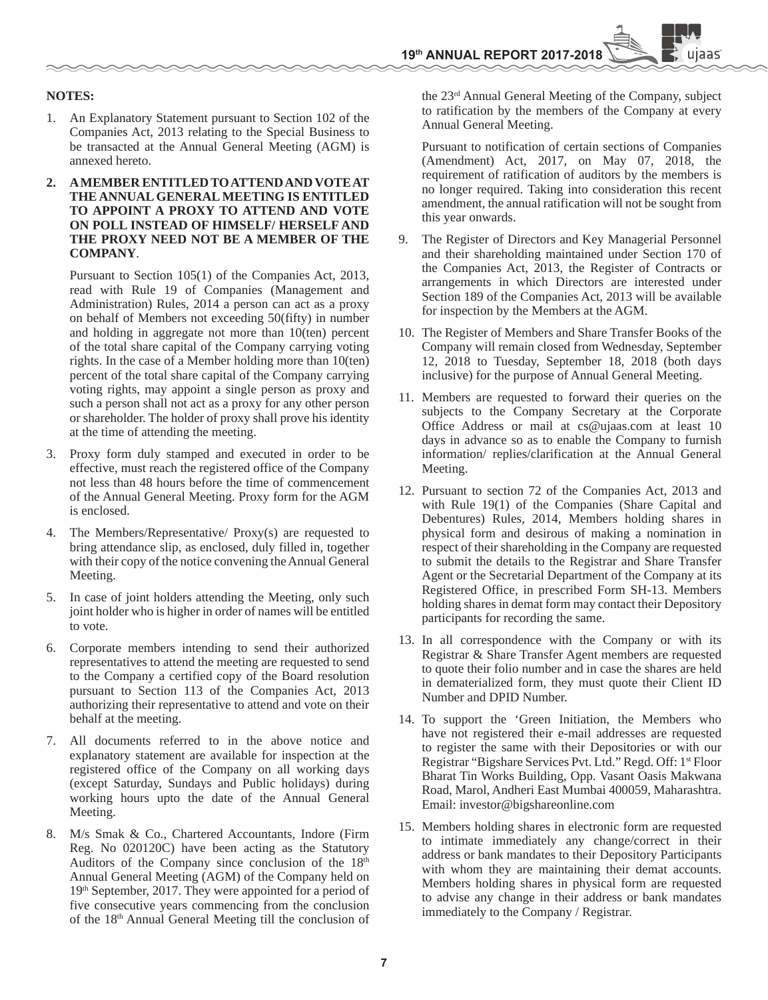#### **NOTES:**

- 1. An Explanatory Statement pursuant to Section 102 of the Companies Act, 2013 relating to the Special Business to be transacted at the Annual General Meeting (AGM) is annexed hereto.
- **2. A MEMBER ENTITLED TO ATTEND AND VOTE AT THE ANNUAL GENERAL MEETING IS ENTITLED TO APPOINT A PROXY TO ATTEND AND VOTE ON POLL INSTEAD OF HIMSELF/ HERSELF AND THE PROXY NEED NOT BE A MEMBER OF THE COMPANY**.

 Pursuant to Section 105(1) of the Companies Act, 2013, read with Rule 19 of Companies (Management and Administration) Rules, 2014 a person can act as a proxy on behalf of Members not exceeding 50(fifty) in number and holding in aggregate not more than 10(ten) percent of the total share capital of the Company carrying voting rights. In the case of a Member holding more than 10(ten) percent of the total share capital of the Company carrying voting rights, may appoint a single person as proxy and such a person shall not act as a proxy for any other person or shareholder. The holder of proxy shall prove his identity at the time of attending the meeting.

- 3. Proxy form duly stamped and executed in order to be effective, must reach the registered office of the Company not less than 48 hours before the time of commencement of the Annual General Meeting. Proxy form for the AGM is enclosed.
- The Members/Representative/ Proxy(s) are requested to bring attendance slip, as enclosed, duly filled in, together with their copy of the notice convening the Annual General Meeting.
- 5. In case of joint holders attending the Meeting, only such joint holder who is higher in order of names will be entitled to vote.
- 6. Corporate members intending to send their authorized representatives to attend the meeting are requested to send to the Company a certified copy of the Board resolution pursuant to Section 113 of the Companies Act, 2013 authorizing their representative to attend and vote on their behalf at the meeting.
- 7. All documents referred to in the above notice and explanatory statement are available for inspection at the registered office of the Company on all working days (except Saturday, Sundays and Public holidays) during working hours upto the date of the Annual General Meeting.
- 8. M/s Smak & Co., Chartered Accountants, Indore (Firm Reg. No 020120C) have been acting as the Statutory Auditors of the Company since conclusion of the  $18<sup>th</sup>$ Annual General Meeting (AGM) of the Company held on 19th September, 2017. They were appointed for a period of five consecutive years commencing from the conclusion of the 18th Annual General Meeting till the conclusion of

the 23rd Annual General Meeting of the Company, subject to ratification by the members of the Company at every Annual General Meeting.

uiaas`

 Pursuant to notification of certain sections of Companies (Amendment) Act, 2017, on May 07, 2018, the requirement of ratification of auditors by the members is no longer required. Taking into consideration this recent amendment, the annual ratification will not be sought from this year onwards.

- 9. The Register of Directors and Key Managerial Personnel and their shareholding maintained under Section 170 of the Companies Act, 2013, the Register of Contracts or arrangements in which Directors are interested under Section 189 of the Companies Act, 2013 will be available for inspection by the Members at the AGM.
- 10. The Register of Members and Share Transfer Books of the Company will remain closed from Wednesday, September 12, 2018 to Tuesday, September 18, 2018 (both days inclusive) for the purpose of Annual General Meeting.
- 11. Members are requested to forward their queries on the subjects to the Company Secretary at the Corporate Office Address or mail at cs@ujaas.com at least 10 days in advance so as to enable the Company to furnish information/ replies/clarification at the Annual General Meeting.
- 12. Pursuant to section 72 of the Companies Act, 2013 and with Rule 19(1) of the Companies (Share Capital and Debentures) Rules, 2014, Members holding shares in physical form and desirous of making a nomination in respect of their shareholding in the Company are requested to submit the details to the Registrar and Share Transfer Agent or the Secretarial Department of the Company at its Registered Office, in prescribed Form SH-13. Members holding shares in demat form may contact their Depository participants for recording the same.
- 13. In all correspondence with the Company or with its Registrar & Share Transfer Agent members are requested to quote their folio number and in case the shares are held in dematerialized form, they must quote their Client ID Number and DPID Number.
- 14. To support the 'Green Initiation, the Members who have not registered their e-mail addresses are requested to register the same with their Depositories or with our Registrar "Bigshare Services Pvt. Ltd." Regd. Off: 1<sup>st</sup> Floor Bharat Tin Works Building, Opp. Vasant Oasis Makwana Road, Marol, Andheri East Mumbai 400059, Maharashtra. Email: investor@bigshareonline.com
- 15. Members holding shares in electronic form are requested to intimate immediately any change/correct in their address or bank mandates to their Depository Participants with whom they are maintaining their demat accounts. Members holding shares in physical form are requested to advise any change in their address or bank mandates immediately to the Company / Registrar.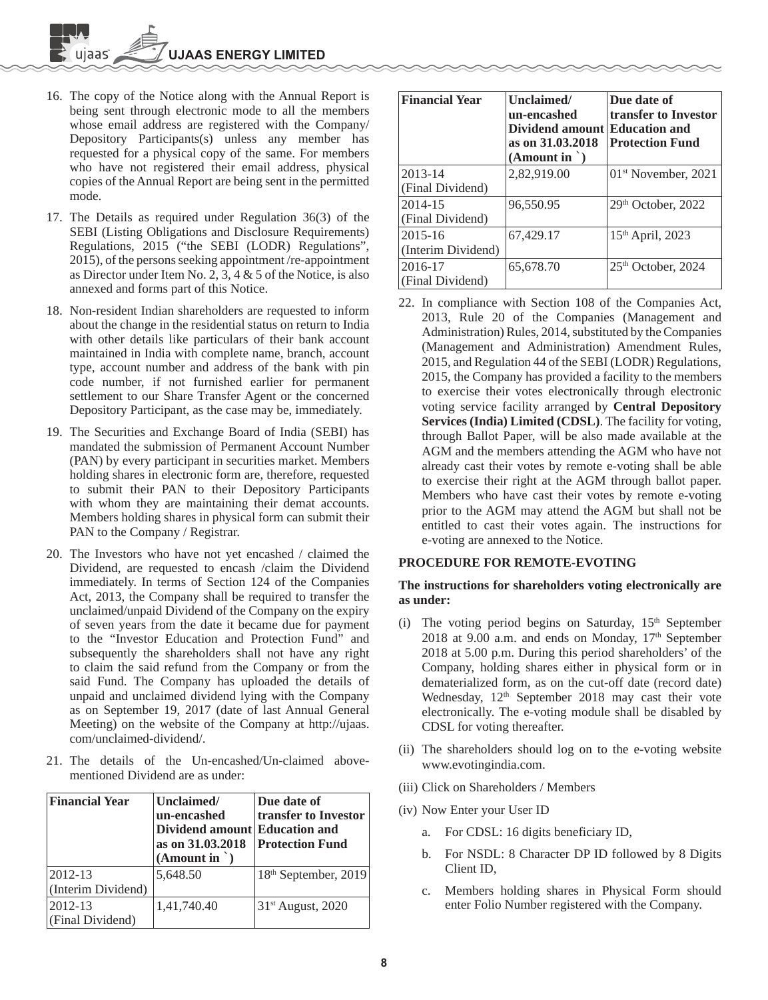- 16. The copy of the Notice along with the Annual Report is being sent through electronic mode to all the members whose email address are registered with the Company/ Depository Participants(s) unless any member has requested for a physical copy of the same. For members who have not registered their email address, physical copies of the Annual Report are being sent in the permitted mode.
- 17. The Details as required under Regulation 36(3) of the SEBI (Listing Obligations and Disclosure Requirements) Regulations, 2015 ("the SEBI (LODR) Regulations", 2015), of the persons seeking appointment /re-appointment as Director under Item No. 2, 3, 4 & 5 of the Notice, is also annexed and forms part of this Notice.
- 18. Non-resident Indian shareholders are requested to inform about the change in the residential status on return to India with other details like particulars of their bank account maintained in India with complete name, branch, account type, account number and address of the bank with pin code number, if not furnished earlier for permanent settlement to our Share Transfer Agent or the concerned Depository Participant, as the case may be, immediately.
- 19. The Securities and Exchange Board of India (SEBI) has mandated the submission of Permanent Account Number (PAN) by every participant in securities market. Members holding shares in electronic form are, therefore, requested to submit their PAN to their Depository Participants with whom they are maintaining their demat accounts. Members holding shares in physical form can submit their PAN to the Company / Registrar.
- 20. The Investors who have not yet encashed / claimed the Dividend, are requested to encash /claim the Dividend immediately. In terms of Section 124 of the Companies Act, 2013, the Company shall be required to transfer the unclaimed/unpaid Dividend of the Company on the expiry of seven years from the date it became due for payment to the "Investor Education and Protection Fund" and subsequently the shareholders shall not have any right to claim the said refund from the Company or from the said Fund. The Company has uploaded the details of unpaid and unclaimed dividend lying with the Company as on September 19, 2017 (date of last Annual General Meeting) on the website of the Company at http://ujaas. com/unclaimed-dividend/.
- 21. The details of the Un-encashed/Un-claimed abovementioned Dividend are as under:

| <b>Financial Year</b> | Unclaimed/<br>un-encashed<br>Dividend amount Education and<br>as on 31.03.2018<br>$(A$ mount in $\dot{\ }$ ) | Due date of<br>transfer to Investor<br><b>Protection Fund</b> |
|-----------------------|--------------------------------------------------------------------------------------------------------------|---------------------------------------------------------------|
| 2012-13               | 5,648.50                                                                                                     | 18 <sup>th</sup> September, 2019                              |
| (Interim Dividend)    |                                                                                                              |                                                               |
| 2012-13               | 1,41,740.40                                                                                                  | 31 <sup>st</sup> August, 2020                                 |
| (Final Dividend)      |                                                                                                              |                                                               |

| <b>Financial Year</b>             | Unclaimed/<br>un-encashed<br>Dividend amount Education and<br>as on 31,03,2018<br>(Amount in ' ) | Due date of<br>transfer to Investor<br><b>Protection Fund</b> |
|-----------------------------------|--------------------------------------------------------------------------------------------------|---------------------------------------------------------------|
| 2013-14<br>(Final Dividend)       | 2,82,919.00                                                                                      | $01st$ November, 2021                                         |
| 2014-15<br>(Final Dividend)       | 96,550.95                                                                                        | 29th October, 2022                                            |
| $2015 - 16$<br>(Interim Dividend) | 67,429.17                                                                                        | 15 <sup>th</sup> April, 2023                                  |
| 2016-17<br>(Final Dividend)       | 65,678.70                                                                                        | 25 <sup>th</sup> October, 2024                                |

22. In compliance with Section 108 of the Companies Act, 2013, Rule 20 of the Companies (Management and Administration) Rules, 2014, substituted by the Companies (Management and Administration) Amendment Rules, 2015, and Regulation 44 of the SEBI (LODR) Regulations, 2015, the Company has provided a facility to the members to exercise their votes electronically through electronic voting service facility arranged by **Central Depository Services (India) Limited (CDSL)**. The facility for voting, through Ballot Paper, will be also made available at the AGM and the members attending the AGM who have not already cast their votes by remote e-voting shall be able to exercise their right at the AGM through ballot paper. Members who have cast their votes by remote e-voting prior to the AGM may attend the AGM but shall not be entitled to cast their votes again. The instructions for e-voting are annexed to the Notice.

## **PROCEDURE FOR REMOTE-EVOTING**

## **The instructions for shareholders voting electronically are as under:**

- (i) The voting period begins on Saturday,  $15<sup>th</sup>$  September 2018 at 9.00 a.m. and ends on Monday,  $17<sup>th</sup>$  September 2018 at 5.00 p.m. During this period shareholders' of the Company, holding shares either in physical form or in dematerialized form, as on the cut-off date (record date) Wednesday, 12<sup>th</sup> September 2018 may cast their vote electronically. The e-voting module shall be disabled by CDSL for voting thereafter.
- (ii) The shareholders should log on to the e-voting website www.evotingindia.com.
- (iii) Click on Shareholders / Members
- (iv) Now Enter your User ID
	- a. For CDSL: 16 digits beneficiary ID,
	- b. For NSDL: 8 Character DP ID followed by 8 Digits Client ID,
	- c. Members holding shares in Physical Form should enter Folio Number registered with the Company.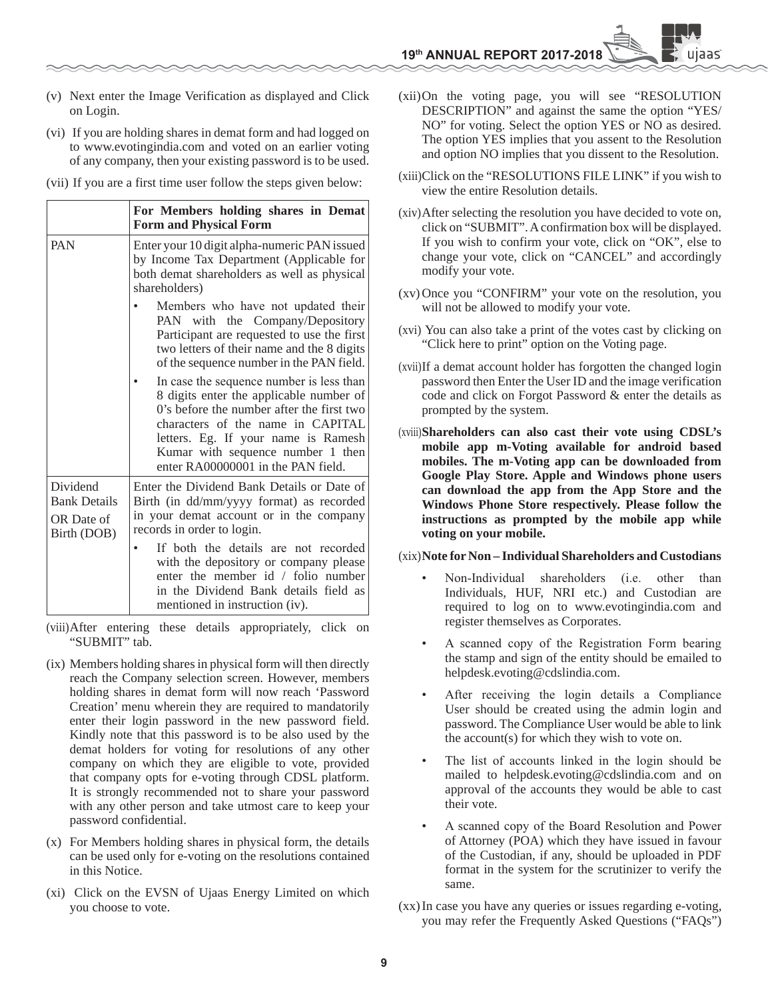- (v) Next enter the Image Verification as displayed and Click on Login.
- (vi) If you are holding shares in demat form and had logged on to www.evotingindia.com and voted on an earlier voting of any company, then your existing password is to be used.
- (vii) If you are a first time user follow the steps given below:

|                                                              | For Members holding shares in Demat<br><b>Form and Physical Form</b>                                                                                                                                                                                                                    |
|--------------------------------------------------------------|-----------------------------------------------------------------------------------------------------------------------------------------------------------------------------------------------------------------------------------------------------------------------------------------|
| PAN                                                          | Enter your 10 digit alpha-numeric PAN issued<br>by Income Tax Department (Applicable for<br>both demat shareholders as well as physical<br>shareholders)                                                                                                                                |
|                                                              | Members who have not updated their<br>PAN with the Company/Depository<br>Participant are requested to use the first<br>two letters of their name and the 8 digits<br>of the sequence number in the PAN field.                                                                           |
|                                                              | In case the sequence number is less than<br>8 digits enter the applicable number of<br>0's before the number after the first two<br>characters of the name in CAPITAL<br>letters. Eg. If your name is Ramesh<br>Kumar with sequence number 1 then<br>enter RA00000001 in the PAN field. |
| Dividend<br><b>Bank Details</b><br>OR Date of<br>Birth (DOB) | Enter the Dividend Bank Details or Date of<br>Birth (in dd/mm/yyyy format) as recorded<br>in your demat account or in the company<br>records in order to login.                                                                                                                         |
|                                                              | If both the details are not recorded<br>with the depository or company please<br>enter the member id / folio number<br>in the Dividend Bank details field as<br>mentioned in instruction (iv).                                                                                          |

- (viii) After entering these details appropriately, click on "SUBMIT" tab.
- (ix) Members holding shares in physical form will then directly reach the Company selection screen. However, members holding shares in demat form will now reach 'Password Creation' menu wherein they are required to mandatorily enter their login password in the new password field. Kindly note that this password is to be also used by the demat holders for voting for resolutions of any other company on which they are eligible to vote, provided that company opts for e-voting through CDSL platform. It is strongly recommended not to share your password with any other person and take utmost care to keep your password confidential.
- (x) For Members holding shares in physical form, the details can be used only for e-voting on the resolutions contained in this Notice.
- (xi) Click on the EVSN of Ujaas Energy Limited on which you choose to vote.
- (xii) On the voting page, you will see "RESOLUTION DESCRIPTION" and against the same the option "YES/ NO" for voting. Select the option YES or NO as desired. The option YES implies that you assent to the Resolution and option NO implies that you dissent to the Resolution.
- (xiii) Click on the "RESOLUTIONS FILE LINK" if you wish to view the entire Resolution details.
- (xiv) After selecting the resolution you have decided to vote on, click on "SUBMIT". A confirmation box will be displayed. If you wish to confirm your vote, click on "OK", else to change your vote, click on "CANCEL" and accordingly modify your vote.
- (xv) Once you "CONFIRM" your vote on the resolution, you will not be allowed to modify your vote.
- (xvi) You can also take a print of the votes cast by clicking on "Click here to print" option on the Voting page.
- (xvii) If a demat account holder has forgotten the changed login password then Enter the User ID and the image verification code and click on Forgot Password & enter the details as prompted by the system.
- (xviii)**Shareholders can also cast their vote using CDSL's mobile app m-Voting available for android based mobiles. The m-Voting app can be downloaded from Google Play Store. Apple and Windows phone users can download the app from the App Store and the Windows Phone Store respectively. Please follow the instructions as prompted by the mobile app while voting on your mobile.**

#### (xix)**Note for Non – Individual Shareholders and Custodians**

- Non-Individual shareholders (i.e. other than Individuals, HUF, NRI etc.) and Custodian are required to log on to www.evotingindia.com and register themselves as Corporates.
- A scanned copy of the Registration Form bearing the stamp and sign of the entity should be emailed to helpdesk.evoting@cdslindia.com.
- After receiving the login details a Compliance User should be created using the admin login and password. The Compliance User would be able to link the account(s) for which they wish to vote on.
- The list of accounts linked in the login should be mailed to helpdesk.evoting@cdslindia.com and on approval of the accounts they would be able to cast their vote.
- A scanned copy of the Board Resolution and Power of Attorney (POA) which they have issued in favour of the Custodian, if any, should be uploaded in PDF format in the system for the scrutinizer to verify the same.
- (xx) In case you have any queries or issues regarding e-voting, you may refer the Frequently Asked Questions ("FAQs")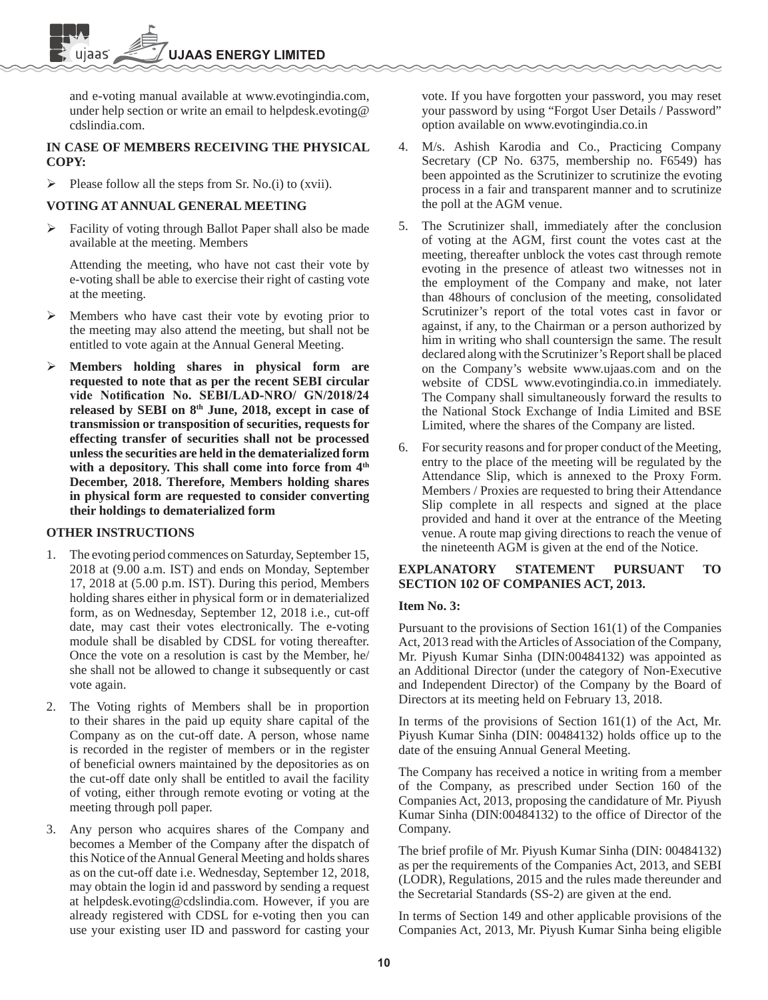and e-voting manual available at www.evotingindia.com, under help section or write an email to helpdesk.evoting@ cdslindia.com.

## **IN CASE OF MEMBERS RECEIVING THE PHYSICAL COPY:**

Please follow all the steps from Sr. No.(i) to (xvii).

## **VOTING AT ANNUAL GENERAL MEETING**

 Facility of voting through Ballot Paper shall also be made available at the meeting. Members

 Attending the meeting, who have not cast their vote by e-voting shall be able to exercise their right of casting vote at the meeting.

- Members who have cast their vote by evoting prior to the meeting may also attend the meeting, but shall not be entitled to vote again at the Annual General Meeting.
- **Members holding shares in physical form are requested to note that as per the recent SEBI circular**  vide Notification No. SEBI/LAD-NRO/ GN/2018/24 released by SEBI on 8<sup>th</sup> June, 2018, except in case of **transmission or transposition of securities, requests for effecting transfer of securities shall not be processed unless the securities are held in the dematerialized form**  with a depository. This shall come into force from  $4<sup>th</sup>$ **December, 2018. Therefore, Members holding shares in physical form are requested to consider converting their holdings to dematerialized form**

## **OTHER INSTRUCTIONS**

- 1. The evoting period commences on Saturday, September 15, 2018 at (9.00 a.m. IST) and ends on Monday, September 17, 2018 at (5.00 p.m. IST). During this period, Members holding shares either in physical form or in dematerialized form, as on Wednesday, September 12, 2018 i.e., cut-off date, may cast their votes electronically. The e-voting module shall be disabled by CDSL for voting thereafter. Once the vote on a resolution is cast by the Member, he/ she shall not be allowed to change it subsequently or cast vote again.
- 2. The Voting rights of Members shall be in proportion to their shares in the paid up equity share capital of the Company as on the cut-off date. A person, whose name is recorded in the register of members or in the register of beneficial owners maintained by the depositories as on the cut-off date only shall be entitled to avail the facility of voting, either through remote evoting or voting at the meeting through poll paper.
- 3. Any person who acquires shares of the Company and becomes a Member of the Company after the dispatch of this Notice of the Annual General Meeting and holds shares as on the cut-off date i.e. Wednesday, September 12, 2018, may obtain the login id and password by sending a request at helpdesk.evoting@cdslindia.com. However, if you are already registered with CDSL for e-voting then you can use your existing user ID and password for casting your

vote. If you have forgotten your password, you may reset your password by using "Forgot User Details / Password" option available on www.evotingindia.co.in

- 4. M/s. Ashish Karodia and Co., Practicing Company Secretary (CP No. 6375, membership no. F6549) has been appointed as the Scrutinizer to scrutinize the evoting process in a fair and transparent manner and to scrutinize the poll at the AGM venue.
- 5. The Scrutinizer shall, immediately after the conclusion of voting at the AGM, first count the votes cast at the meeting, thereafter unblock the votes cast through remote evoting in the presence of atleast two witnesses not in the employment of the Company and make, not later than 48hours of conclusion of the meeting, consolidated Scrutinizer's report of the total votes cast in favor or against, if any, to the Chairman or a person authorized by him in writing who shall countersign the same. The result declared along with the Scrutinizer's Report shall be placed on the Company's website www.ujaas.com and on the website of CDSL www.evotingindia.co.in immediately. The Company shall simultaneously forward the results to the National Stock Exchange of India Limited and BSE Limited, where the shares of the Company are listed.
- 6. For security reasons and for proper conduct of the Meeting, entry to the place of the meeting will be regulated by the Attendance Slip, which is annexed to the Proxy Form. Members / Proxies are requested to bring their Attendance Slip complete in all respects and signed at the place provided and hand it over at the entrance of the Meeting venue. A route map giving directions to reach the venue of the nineteenth AGM is given at the end of the Notice.

## **EXPLANATORY STATEMENT PURSUANT TO SECTION 102 OF COMPANIES ACT, 2013.**

## **Item No. 3:**

Pursuant to the provisions of Section 161(1) of the Companies Act, 2013 read with the Articles of Association of the Company, Mr. Piyush Kumar Sinha (DIN:00484132) was appointed as an Additional Director (under the category of Non-Executive and Independent Director) of the Company by the Board of Directors at its meeting held on February 13, 2018.

In terms of the provisions of Section 161(1) of the Act, Mr. Piyush Kumar Sinha (DIN: 00484132) holds office up to the date of the ensuing Annual General Meeting.

The Company has received a notice in writing from a member of the Company, as prescribed under Section 160 of the Companies Act, 2013, proposing the candidature of Mr. Piyush Kumar Sinha (DIN:00484132) to the office of Director of the Company.

The brief profile of Mr. Piyush Kumar Sinha (DIN: 00484132) as per the requirements of the Companies Act, 2013, and SEBI (LODR), Regulations, 2015 and the rules made thereunder and the Secretarial Standards (SS-2) are given at the end.

In terms of Section 149 and other applicable provisions of the Companies Act, 2013, Mr. Piyush Kumar Sinha being eligible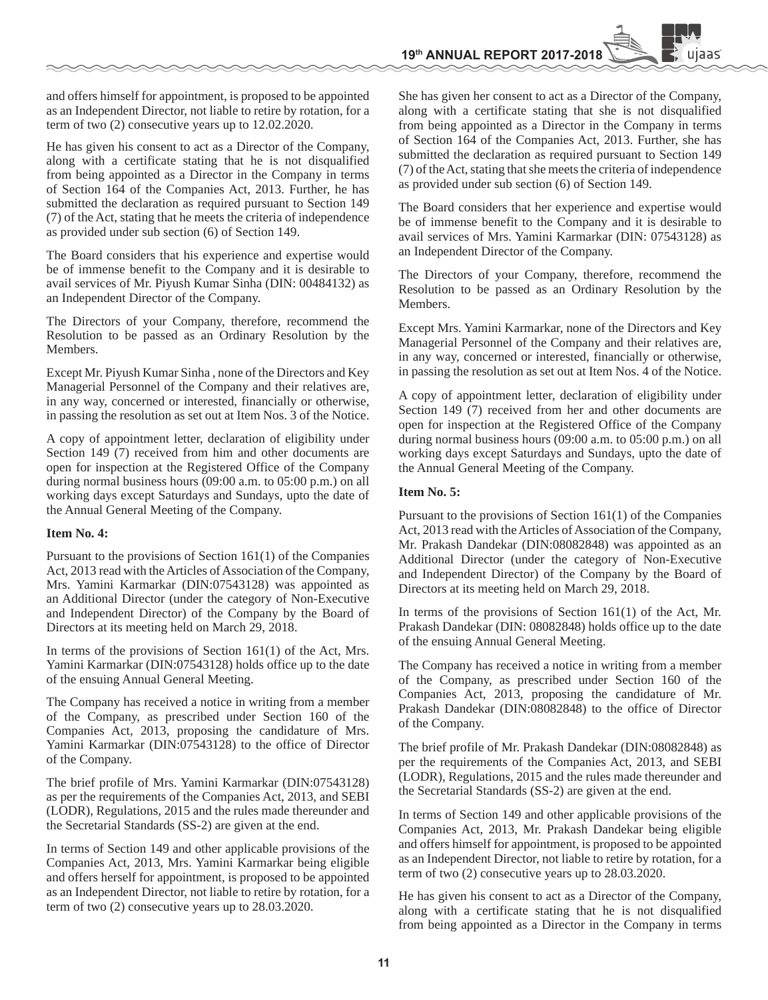and offers himself for appointment, is proposed to be appointed as an Independent Director, not liable to retire by rotation, for a term of two (2) consecutive years up to 12.02.2020.

He has given his consent to act as a Director of the Company, along with a certificate stating that he is not disqualified from being appointed as a Director in the Company in terms of Section 164 of the Companies Act, 2013. Further, he has submitted the declaration as required pursuant to Section 149 (7) of the Act, stating that he meets the criteria of independence as provided under sub section (6) of Section 149.

The Board considers that his experience and expertise would be of immense benefit to the Company and it is desirable to avail services of Mr. Piyush Kumar Sinha (DIN: 00484132) as an Independent Director of the Company.

The Directors of your Company, therefore, recommend the Resolution to be passed as an Ordinary Resolution by the Members.

Except Mr. Piyush Kumar Sinha , none of the Directors and Key Managerial Personnel of the Company and their relatives are, in any way, concerned or interested, financially or otherwise, in passing the resolution as set out at Item Nos. 3 of the Notice.

A copy of appointment letter, declaration of eligibility under Section 149 (7) received from him and other documents are open for inspection at the Registered Office of the Company during normal business hours (09:00 a.m. to 05:00 p.m.) on all working days except Saturdays and Sundays, upto the date of the Annual General Meeting of the Company.

#### **Item No. 4:**

Pursuant to the provisions of Section 161(1) of the Companies Act, 2013 read with the Articles of Association of the Company, Mrs. Yamini Karmarkar (DIN:07543128) was appointed as an Additional Director (under the category of Non-Executive and Independent Director) of the Company by the Board of Directors at its meeting held on March 29, 2018.

In terms of the provisions of Section  $161(1)$  of the Act, Mrs. Yamini Karmarkar (DIN:07543128) holds office up to the date of the ensuing Annual General Meeting.

The Company has received a notice in writing from a member of the Company, as prescribed under Section 160 of the Companies Act, 2013, proposing the candidature of Mrs. Yamini Karmarkar (DIN:07543128) to the office of Director of the Company.

The brief profile of Mrs. Yamini Karmarkar (DIN:07543128) as per the requirements of the Companies Act, 2013, and SEBI (LODR), Regulations, 2015 and the rules made thereunder and the Secretarial Standards (SS-2) are given at the end.

In terms of Section 149 and other applicable provisions of the Companies Act, 2013, Mrs. Yamini Karmarkar being eligible and offers herself for appointment, is proposed to be appointed as an Independent Director, not liable to retire by rotation, for a term of two (2) consecutive years up to 28.03.2020.

She has given her consent to act as a Director of the Company, along with a certificate stating that she is not disqualified from being appointed as a Director in the Company in terms of Section 164 of the Companies Act, 2013. Further, she has submitted the declaration as required pursuant to Section 149 (7) of the Act, stating that she meets the criteria of independence as provided under sub section (6) of Section 149.

The Board considers that her experience and expertise would be of immense benefit to the Company and it is desirable to avail services of Mrs. Yamini Karmarkar (DIN: 07543128) as an Independent Director of the Company.

The Directors of your Company, therefore, recommend the Resolution to be passed as an Ordinary Resolution by the Members.

Except Mrs. Yamini Karmarkar, none of the Directors and Key Managerial Personnel of the Company and their relatives are, in any way, concerned or interested, financially or otherwise, in passing the resolution as set out at Item Nos. 4 of the Notice.

A copy of appointment letter, declaration of eligibility under Section 149 (7) received from her and other documents are open for inspection at the Registered Office of the Company during normal business hours (09:00 a.m. to 05:00 p.m.) on all working days except Saturdays and Sundays, upto the date of the Annual General Meeting of the Company.

#### **Item No. 5:**

Pursuant to the provisions of Section 161(1) of the Companies Act, 2013 read with the Articles of Association of the Company, Mr. Prakash Dandekar (DIN:08082848) was appointed as an Additional Director (under the category of Non-Executive and Independent Director) of the Company by the Board of Directors at its meeting held on March 29, 2018.

In terms of the provisions of Section  $161(1)$  of the Act, Mr. Prakash Dandekar (DIN: 08082848) holds office up to the date of the ensuing Annual General Meeting.

The Company has received a notice in writing from a member of the Company, as prescribed under Section 160 of the Companies Act, 2013, proposing the candidature of Mr. Prakash Dandekar (DIN:08082848) to the office of Director of the Company.

The brief profile of Mr. Prakash Dandekar (DIN:08082848) as per the requirements of the Companies Act, 2013, and SEBI (LODR), Regulations, 2015 and the rules made thereunder and the Secretarial Standards (SS-2) are given at the end.

In terms of Section 149 and other applicable provisions of the Companies Act, 2013, Mr. Prakash Dandekar being eligible and offers himself for appointment, is proposed to be appointed as an Independent Director, not liable to retire by rotation, for a term of two (2) consecutive years up to 28.03.2020.

He has given his consent to act as a Director of the Company, along with a certificate stating that he is not disqualified from being appointed as a Director in the Company in terms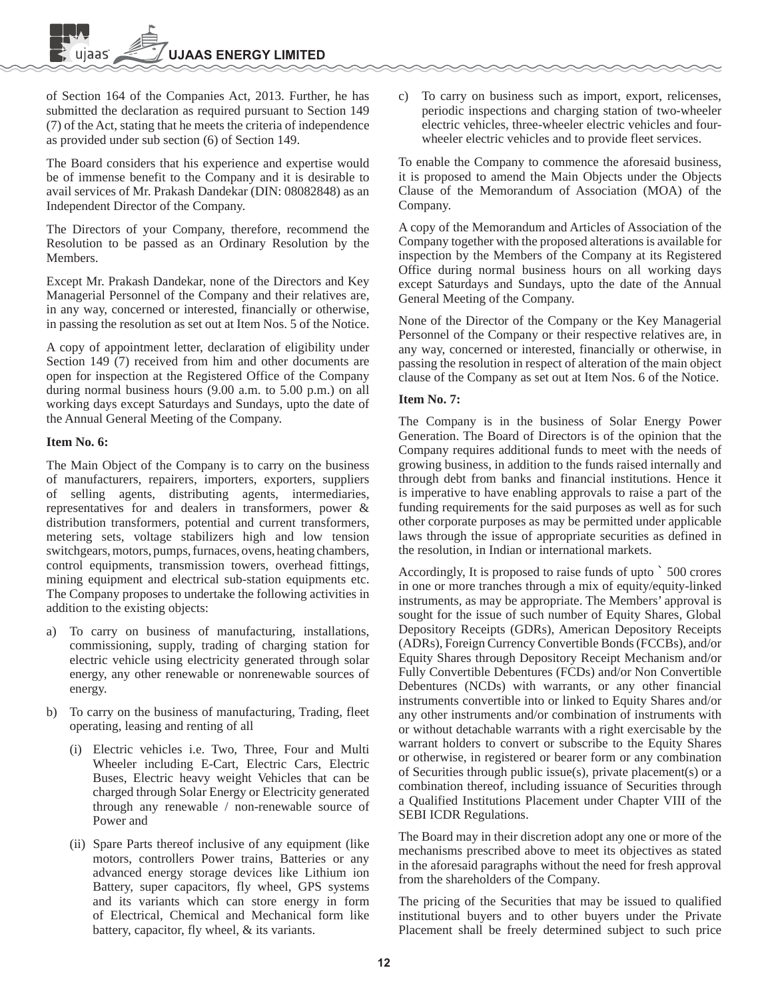of Section 164 of the Companies Act, 2013. Further, he has submitted the declaration as required pursuant to Section 149 (7) of the Act, stating that he meets the criteria of independence as provided under sub section (6) of Section 149.

The Board considers that his experience and expertise would be of immense benefit to the Company and it is desirable to avail services of Mr. Prakash Dandekar (DIN: 08082848) as an Independent Director of the Company.

The Directors of your Company, therefore, recommend the Resolution to be passed as an Ordinary Resolution by the Members.

Except Mr. Prakash Dandekar, none of the Directors and Key Managerial Personnel of the Company and their relatives are, in any way, concerned or interested, financially or otherwise, in passing the resolution as set out at Item Nos. 5 of the Notice.

A copy of appointment letter, declaration of eligibility under Section 149 (7) received from him and other documents are open for inspection at the Registered Office of the Company during normal business hours (9.00 a.m. to 5.00 p.m.) on all working days except Saturdays and Sundays, upto the date of the Annual General Meeting of the Company.

#### **Item No. 6:**

The Main Object of the Company is to carry on the business of manufacturers, repairers, importers, exporters, suppliers of selling agents, distributing agents, intermediaries, representatives for and dealers in transformers, power & distribution transformers, potential and current transformers, metering sets, voltage stabilizers high and low tension switchgears, motors, pumps, furnaces, ovens, heating chambers, control equipments, transmission towers, overhead fittings, mining equipment and electrical sub-station equipments etc. The Company proposes to undertake the following activities in addition to the existing objects:

- a) To carry on business of manufacturing, installations, commissioning, supply, trading of charging station for electric vehicle using electricity generated through solar energy, any other renewable or nonrenewable sources of energy.
- b) To carry on the business of manufacturing, Trading, fleet operating, leasing and renting of all
	- (i) Electric vehicles i.e. Two, Three, Four and Multi Wheeler including E-Cart, Electric Cars, Electric Buses, Electric heavy weight Vehicles that can be charged through Solar Energy or Electricity generated through any renewable / non-renewable source of Power and
	- (ii) Spare Parts thereof inclusive of any equipment (like motors, controllers Power trains, Batteries or any advanced energy storage devices like Lithium ion Battery, super capacitors, fly wheel, GPS systems and its variants which can store energy in form of Electrical, Chemical and Mechanical form like battery, capacitor, fly wheel, & its variants.

c) To carry on business such as import, export, relicenses, periodic inspections and charging station of two-wheeler electric vehicles, three-wheeler electric vehicles and fourwheeler electric vehicles and to provide fleet services.

To enable the Company to commence the aforesaid business, it is proposed to amend the Main Objects under the Objects Clause of the Memorandum of Association (MOA) of the Company.

A copy of the Memorandum and Articles of Association of the Company together with the proposed alterations is available for inspection by the Members of the Company at its Registered Office during normal business hours on all working days except Saturdays and Sundays, upto the date of the Annual General Meeting of the Company.

None of the Director of the Company or the Key Managerial Personnel of the Company or their respective relatives are, in any way, concerned or interested, financially or otherwise, in passing the resolution in respect of alteration of the main object clause of the Company as set out at Item Nos. 6 of the Notice.

#### **Item No. 7:**

The Company is in the business of Solar Energy Power Generation. The Board of Directors is of the opinion that the Company requires additional funds to meet with the needs of growing business, in addition to the funds raised internally and through debt from banks and financial institutions. Hence it is imperative to have enabling approvals to raise a part of the funding requirements for the said purposes as well as for such other corporate purposes as may be permitted under applicable laws through the issue of appropriate securities as defined in the resolution, in Indian or international markets.

Accordingly, It is proposed to raise funds of upto ` 500 crores in one or more tranches through a mix of equity/equity-linked instruments, as may be appropriate. The Members' approval is sought for the issue of such number of Equity Shares, Global Depository Receipts (GDRs), American Depository Receipts (ADRs), Foreign Currency Convertible Bonds (FCCBs), and/or Equity Shares through Depository Receipt Mechanism and/or Fully Convertible Debentures (FCDs) and/or Non Convertible Debentures (NCDs) with warrants, or any other financial instruments convertible into or linked to Equity Shares and/or any other instruments and/or combination of instruments with or without detachable warrants with a right exercisable by the warrant holders to convert or subscribe to the Equity Shares or otherwise, in registered or bearer form or any combination of Securities through public issue(s), private placement(s) or a combination thereof, including issuance of Securities through a Qualified Institutions Placement under Chapter VIII of the SEBI ICDR Regulations.

The Board may in their discretion adopt any one or more of the mechanisms prescribed above to meet its objectives as stated in the aforesaid paragraphs without the need for fresh approval from the shareholders of the Company.

The pricing of the Securities that may be issued to qualified institutional buyers and to other buyers under the Private Placement shall be freely determined subject to such price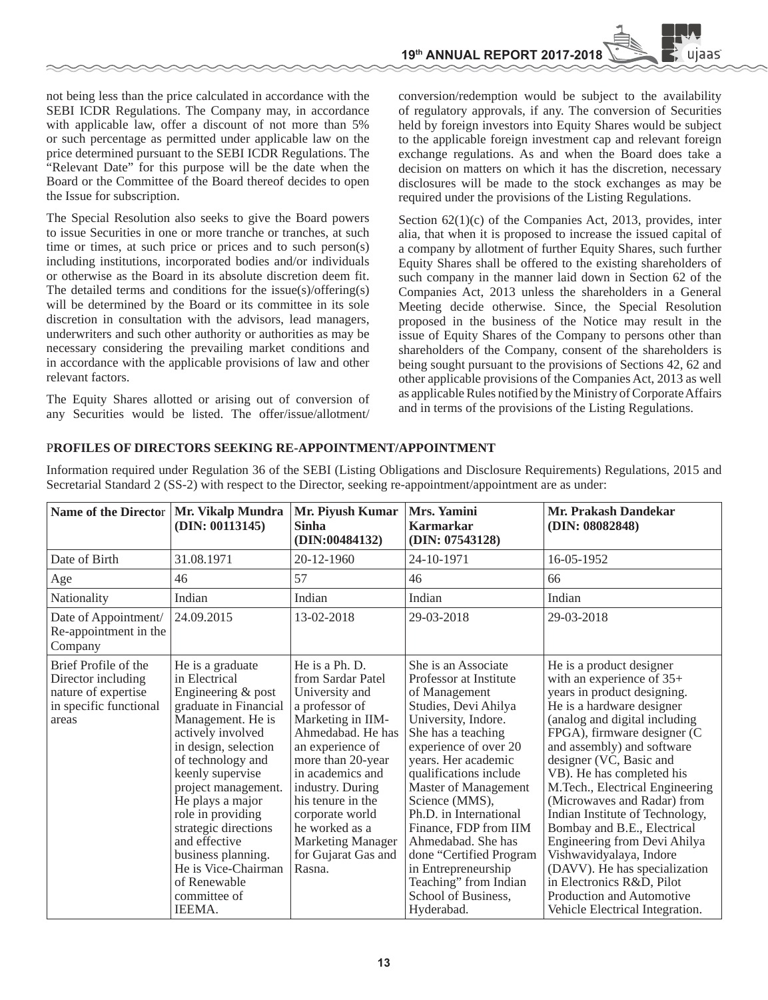not being less than the price calculated in accordance with the SEBI ICDR Regulations. The Company may, in accordance with applicable law, offer a discount of not more than 5% or such percentage as permitted under applicable law on the price determined pursuant to the SEBI ICDR Regulations. The "Relevant Date" for this purpose will be the date when the Board or the Committee of the Board thereof decides to open the Issue for subscription.

The Special Resolution also seeks to give the Board powers to issue Securities in one or more tranche or tranches, at such time or times, at such price or prices and to such person(s) including institutions, incorporated bodies and/or individuals or otherwise as the Board in its absolute discretion deem fit. The detailed terms and conditions for the issue(s)/offering(s) will be determined by the Board or its committee in its sole discretion in consultation with the advisors, lead managers, underwriters and such other authority or authorities as may be necessary considering the prevailing market conditions and in accordance with the applicable provisions of law and other relevant factors.

The Equity Shares allotted or arising out of conversion of any Securities would be listed. The offer/issue/allotment/

conversion/redemption would be subject to the availability of regulatory approvals, if any. The conversion of Securities held by foreign investors into Equity Shares would be subject to the applicable foreign investment cap and relevant foreign exchange regulations. As and when the Board does take a decision on matters on which it has the discretion, necessary disclosures will be made to the stock exchanges as may be required under the provisions of the Listing Regulations.

Section  $62(1)(c)$  of the Companies Act, 2013, provides, inter alia, that when it is proposed to increase the issued capital of a company by allotment of further Equity Shares, such further Equity Shares shall be offered to the existing shareholders of such company in the manner laid down in Section 62 of the Companies Act, 2013 unless the shareholders in a General Meeting decide otherwise. Since, the Special Resolution proposed in the business of the Notice may result in the issue of Equity Shares of the Company to persons other than shareholders of the Company, consent of the shareholders is being sought pursuant to the provisions of Sections 42, 62 and other applicable provisions of the Companies Act, 2013 as well as applicable Rules notified by the Ministry of Corporate Affairs and in terms of the provisions of the Listing Regulations.

#### P**ROFILES OF DIRECTORS SEEKING RE-APPOINTMENT/APPOINTMENT**

Information required under Regulation 36 of the SEBI (Listing Obligations and Disclosure Requirements) Regulations, 2015 and Secretarial Standard 2 (SS-2) with respect to the Director, seeking re-appointment/appointment are as under:

| Name of the Director   Mr. Vikalp Mundra                                                             | (DIN: 00113145)                                                                                                                                                                                                                                                                                                                                                                             | Mr. Piyush Kumar<br><b>Sinha</b><br>(DIN:00484132)                                                                                                                                                                                                                                                                        | Mrs. Yamini<br><b>Karmarkar</b><br>(DIN: 07543128)                                                                                                                                                                                                                                                                                                                                                                                               | Mr. Prakash Dandekar<br>(DIN: 08082848)                                                                                                                                                                                                                                                                                                                                                                                                                                                                                                                                                                |
|------------------------------------------------------------------------------------------------------|---------------------------------------------------------------------------------------------------------------------------------------------------------------------------------------------------------------------------------------------------------------------------------------------------------------------------------------------------------------------------------------------|---------------------------------------------------------------------------------------------------------------------------------------------------------------------------------------------------------------------------------------------------------------------------------------------------------------------------|--------------------------------------------------------------------------------------------------------------------------------------------------------------------------------------------------------------------------------------------------------------------------------------------------------------------------------------------------------------------------------------------------------------------------------------------------|--------------------------------------------------------------------------------------------------------------------------------------------------------------------------------------------------------------------------------------------------------------------------------------------------------------------------------------------------------------------------------------------------------------------------------------------------------------------------------------------------------------------------------------------------------------------------------------------------------|
| Date of Birth                                                                                        | 31.08.1971                                                                                                                                                                                                                                                                                                                                                                                  | 20-12-1960                                                                                                                                                                                                                                                                                                                | 24-10-1971                                                                                                                                                                                                                                                                                                                                                                                                                                       | 16-05-1952                                                                                                                                                                                                                                                                                                                                                                                                                                                                                                                                                                                             |
| Age                                                                                                  | 46                                                                                                                                                                                                                                                                                                                                                                                          | 57                                                                                                                                                                                                                                                                                                                        | 46                                                                                                                                                                                                                                                                                                                                                                                                                                               | 66                                                                                                                                                                                                                                                                                                                                                                                                                                                                                                                                                                                                     |
| Nationality                                                                                          | Indian                                                                                                                                                                                                                                                                                                                                                                                      | Indian                                                                                                                                                                                                                                                                                                                    | Indian                                                                                                                                                                                                                                                                                                                                                                                                                                           | Indian                                                                                                                                                                                                                                                                                                                                                                                                                                                                                                                                                                                                 |
| Date of Appointment/<br>Re-appointment in the<br>Company                                             | 24.09.2015                                                                                                                                                                                                                                                                                                                                                                                  | 13-02-2018                                                                                                                                                                                                                                                                                                                | 29-03-2018                                                                                                                                                                                                                                                                                                                                                                                                                                       | 29-03-2018                                                                                                                                                                                                                                                                                                                                                                                                                                                                                                                                                                                             |
| Brief Profile of the<br>Director including<br>nature of expertise<br>in specific functional<br>areas | He is a graduate<br>in Electrical<br>Engineering & post<br>graduate in Financial<br>Management. He is<br>actively involved<br>in design, selection<br>of technology and<br>keenly supervise<br>project management.<br>He plays a major<br>role in providing<br>strategic directions<br>and effective<br>business planning.<br>He is Vice-Chairman<br>of Renewable<br>committee of<br>IEEMA. | He is a Ph. D.<br>from Sardar Patel<br>University and<br>a professor of<br>Marketing in IIM-<br>Ahmedabad. He has<br>an experience of<br>more than 20-year<br>in academics and<br>industry. During<br>his tenure in the<br>corporate world<br>he worked as a<br><b>Marketing Manager</b><br>for Gujarat Gas and<br>Rasna. | She is an Associate<br>Professor at Institute<br>of Management<br>Studies, Devi Ahilya<br>University, Indore.<br>She has a teaching<br>experience of over 20<br>years. Her academic<br>qualifications include<br>Master of Management<br>Science (MMS),<br>Ph.D. in International<br>Finance, FDP from IIM<br>Ahmedabad. She has<br>done "Certified Program<br>in Entrepreneurship<br>Teaching" from Indian<br>School of Business,<br>Hyderabad. | He is a product designer<br>with an experience of $35+$<br>years in product designing.<br>He is a hardware designer<br>(analog and digital including<br>FPGA), firmware designer (C<br>and assembly) and software<br>designer (VC, Basic and<br>VB). He has completed his<br>M.Tech., Electrical Engineering<br>(Microwaves and Radar) from<br>Indian Institute of Technology,<br>Bombay and B.E., Electrical<br>Engineering from Devi Ahilya<br>Vishwavidyalaya, Indore<br>(DAVV). He has specialization<br>in Electronics R&D, Pilot<br>Production and Automotive<br>Vehicle Electrical Integration. |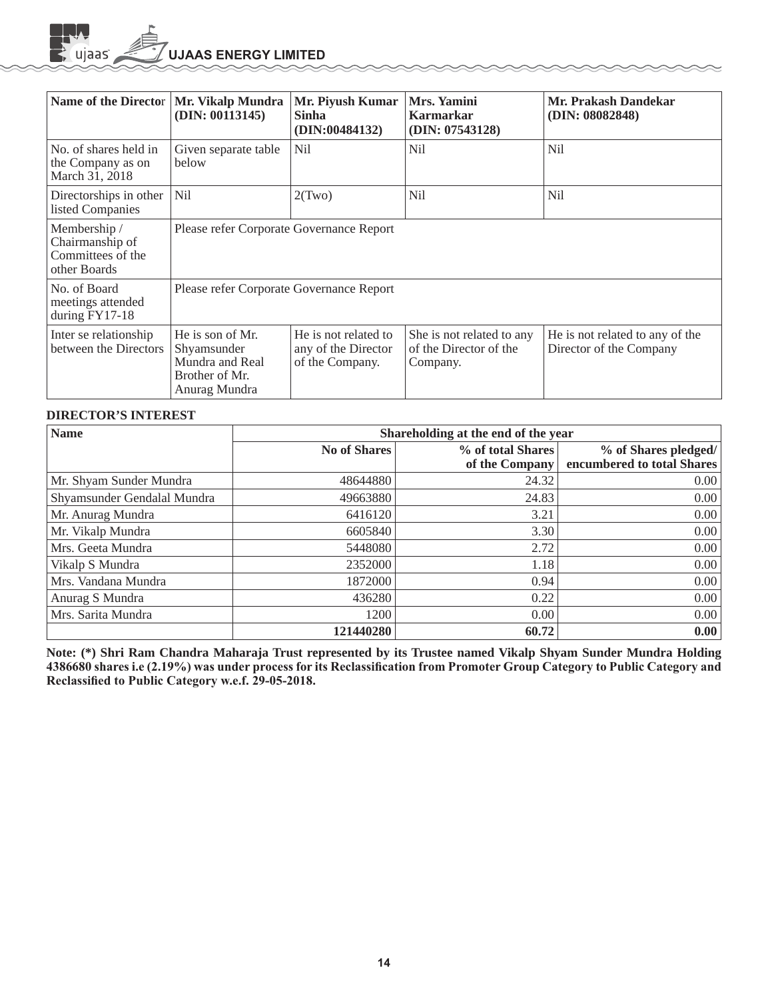**UJAAS ENERGY LIMITED** 

| Name of the Director                                                 | Mr. Vikalp Mundra<br>(DIN: 00113145)                                                  | Mr. Piyush Kumar<br><b>Sinha</b><br>(DIN:00484132)             | Mrs. Yamini<br><b>Karmarkar</b><br>(DIN: 07543128)              | Mr. Prakash Dandekar<br>(DIN: 08082848)                    |
|----------------------------------------------------------------------|---------------------------------------------------------------------------------------|----------------------------------------------------------------|-----------------------------------------------------------------|------------------------------------------------------------|
| No. of shares held in<br>the Company as on<br>March 31, 2018         | Given separate table<br>below                                                         | N <sub>il</sub>                                                | N <sub>il</sub>                                                 | Nil                                                        |
| Directorships in other<br>listed Companies                           | <b>Nil</b>                                                                            | 2(Two)                                                         | <b>Nil</b>                                                      | Nil                                                        |
| Membership /<br>Chairmanship of<br>Committees of the<br>other Boards | Please refer Corporate Governance Report                                              |                                                                |                                                                 |                                                            |
| No. of Board<br>meetings attended<br>during $FY17-18$                | Please refer Corporate Governance Report                                              |                                                                |                                                                 |                                                            |
| Inter se relationship<br>between the Directors                       | He is son of Mr.<br>Shyamsunder<br>Mundra and Real<br>Brother of Mr.<br>Anurag Mundra | He is not related to<br>any of the Director<br>of the Company. | She is not related to any<br>of the Director of the<br>Company. | He is not related to any of the<br>Director of the Company |

#### **DIRECTOR'S INTEREST**

 $\mathbf{E}$  ujaas

| <b>Name</b>                 | Shareholding at the end of the year |                                     |                                                    |  |  |
|-----------------------------|-------------------------------------|-------------------------------------|----------------------------------------------------|--|--|
|                             | <b>No of Shares</b>                 | % of total Shares<br>of the Company | % of Shares pledged/<br>encumbered to total Shares |  |  |
| Mr. Shyam Sunder Mundra     | 48644880                            | 24.32                               | 0.00                                               |  |  |
| Shyamsunder Gendalal Mundra | 49663880                            | 24.83                               | 0.00                                               |  |  |
| Mr. Anurag Mundra           | 6416120                             | 3.21                                | 0.00                                               |  |  |
| Mr. Vikalp Mundra           | 6605840                             | 3.30                                | 0.00                                               |  |  |
| Mrs. Geeta Mundra           | 5448080                             | 2.72                                | 0.00                                               |  |  |
| Vikalp S Mundra             | 2352000                             | 1.18                                | 0.00                                               |  |  |
| Mrs. Vandana Mundra         | 1872000                             | 0.94                                | 0.00                                               |  |  |
| Anurag S Mundra             | 436280                              | 0.22                                | 0.00                                               |  |  |
| Mrs. Sarita Mundra          | 1200                                | 0.00                                | 0.00                                               |  |  |
|                             | 121440280                           | 60.72                               | 0.00                                               |  |  |

**Note: (\*) Shri Ram Chandra Maharaja Trust represented by its Trustee named Vikalp Shyam Sunder Mundra Holding**  4386680 shares i.e (2.19%) was under process for its Reclassification from Promoter Group Category to Public Category and Reclassified to Public Category w.e.f. 29-05-2018.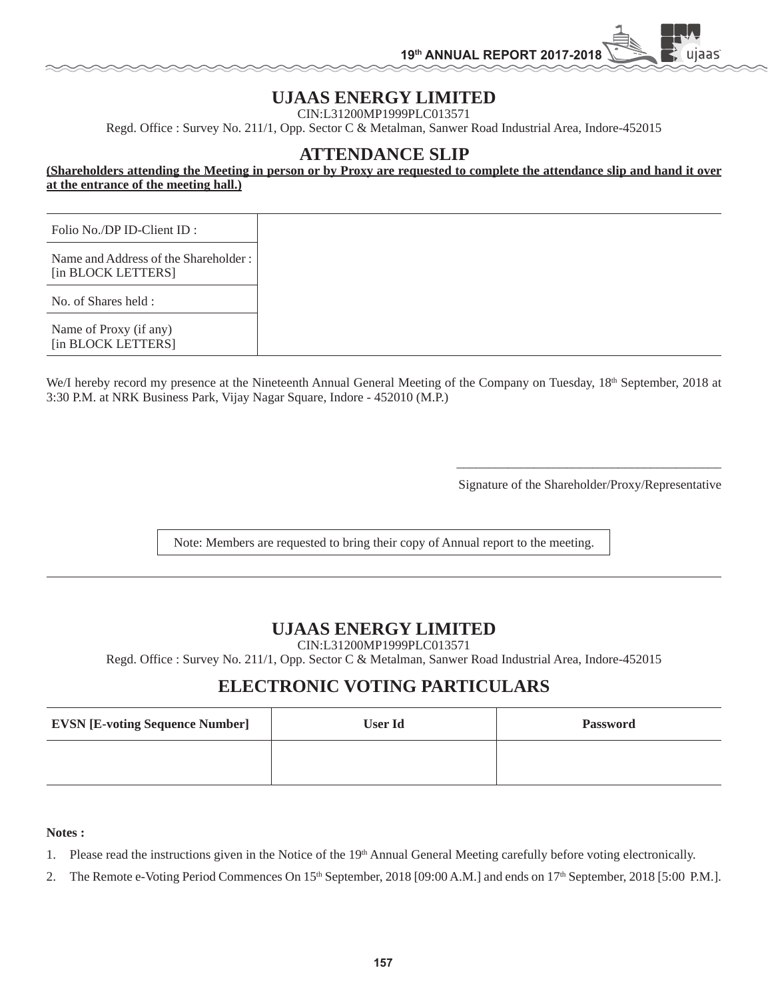## **UJAAS ENERGY LIMITED**

CIN:L31200MP1999PLC013571

Regd. Office : Survey No. 211/1, Opp. Sector C & Metalman, Sanwer Road Industrial Area, Indore-452015

## **ATTENDANCE SLIP**

**(Shareholders attending the Meeting in person or by Proxy are requested to complete the attendance slip and hand it over at the entrance of the meeting hall.)**

| Folio No./DP ID-Client ID :                                |
|------------------------------------------------------------|
| Name and Address of the Shareholder:<br>[in BLOCK LETTERS] |
| No. of Shares held :                                       |
| Name of Proxy (if any)<br>[in BLOCK LETTERS]               |

We/I hereby record my presence at the Nineteenth Annual General Meeting of the Company on Tuesday, 18<sup>th</sup> September, 2018 at 3:30 P.M. at NRK Business Park, Vijay Nagar Square, Indore - 452010 (M.P.)

Signature of the Shareholder/Proxy/Representative

uiaas

Note: Members are requested to bring their copy of Annual report to the meeting.

 $\overline{\phantom{a}}$  , and the contract of the contract of the contract of the contract of the contract of the contract of the contract of the contract of the contract of the contract of the contract of the contract of the contrac

## **UJAAS ENERGY LIMITED**

CIN:L31200MP1999PLC013571

Regd. Office : Survey No. 211/1, Opp. Sector C & Metalman, Sanwer Road Industrial Area, Indore-452015

## **ELECTRONIC VOTING PARTICULARS**

| <b>EVSN [E-voting Sequence Number]</b> | <b>User Id</b> | <b>Password</b> |
|----------------------------------------|----------------|-----------------|
|                                        |                |                 |

#### **Notes :**

1. Please read the instructions given in the Notice of the 19th Annual General Meeting carefully before voting electronically.

2. The Remote e-Voting Period Commences On 15<sup>th</sup> September, 2018 [09:00 A.M.] and ends on 17<sup>th</sup> September, 2018 [5:00 P.M.].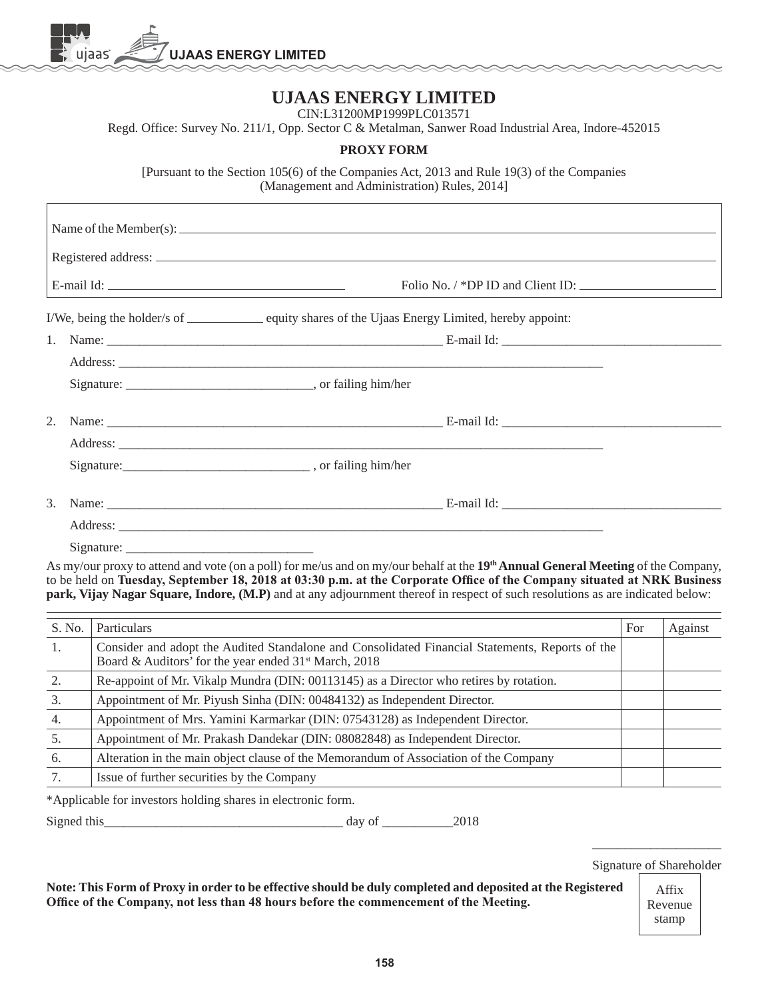

# **UJAAS ENERGY LIMITED**

CIN:L31200MP1999PLC013571

Regd. Office: Survey No. 211/1, Opp. Sector C & Metalman, Sanwer Road Industrial Area, Indore-452015

## **PROXY FORM**

[Pursuant to the Section 105(6) of the Companies Act, 2013 and Rule 19(3) of the Companies (Management and Administration) Rules, 2014]

| Name of the Member(s): $\sqrt{\frac{1}{2}}$                                                                                                                                                                                         |
|-------------------------------------------------------------------------------------------------------------------------------------------------------------------------------------------------------------------------------------|
|                                                                                                                                                                                                                                     |
|                                                                                                                                                                                                                                     |
| I/We, being the holder/s of ______________ equity shares of the Ujaas Energy Limited, hereby appoint:                                                                                                                               |
|                                                                                                                                                                                                                                     |
| Address: <u>Address:</u> Address: Address: Address: Address: Address: Address: Address: Address: Address: Address: Address: Address: Address: Address: Address: Address: Address: Address: Address: Address: Address: Address: Addr |
|                                                                                                                                                                                                                                     |
|                                                                                                                                                                                                                                     |
|                                                                                                                                                                                                                                     |
|                                                                                                                                                                                                                                     |
| 3. Name: $E$ -mail Id:                                                                                                                                                                                                              |
|                                                                                                                                                                                                                                     |
|                                                                                                                                                                                                                                     |

As my/our proxy to attend and vote (on a poll) for me/us and on my/our behalf at the **19th Annual General Meeting** of the Company, to be held on Tuesday, September 18, 2018 at 03:30 p.m. at the Corporate Office of the Company situated at NRK Business **park, Vijay Nagar Square, Indore, (M.P)** and at any adjournment thereof in respect of such resolutions as are indicated below:

| S. No. | Particulars                                                                                                                                                                                                                        | For | Against |
|--------|------------------------------------------------------------------------------------------------------------------------------------------------------------------------------------------------------------------------------------|-----|---------|
| 1.     | Consider and adopt the Audited Standalone and Consolidated Financial Statements, Reports of the<br>Board & Auditors' for the year ended 31 <sup>st</sup> March, 2018                                                               |     |         |
| 2.     | Re-appoint of Mr. Vikalp Mundra (DIN: 00113145) as a Director who retires by rotation.                                                                                                                                             |     |         |
| 3.     | Appointment of Mr. Piyush Sinha (DIN: 00484132) as Independent Director.                                                                                                                                                           |     |         |
| 4.     | Appointment of Mrs. Yamini Karmarkar (DIN: 07543128) as Independent Director.                                                                                                                                                      |     |         |
| 5.     | Appointment of Mr. Prakash Dandekar (DIN: 08082848) as Independent Director.                                                                                                                                                       |     |         |
| 6.     | Alteration in the main object clause of the Memorandum of Association of the Company                                                                                                                                               |     |         |
|        | Issue of further securities by the Company                                                                                                                                                                                         |     |         |
|        | $\mathcal{A}$ are a set of the set of the set of the set of the set of the set of the set of the set of the set of the set of the set of the set of the set of the set of the set of the set of the set of the set of the set of t |     |         |

\*Applicable for investors holding shares in electronic form.

Signed this\_\_\_\_\_\_\_\_\_\_\_\_\_\_\_\_\_\_\_\_\_\_\_\_\_\_\_\_\_\_\_\_\_\_\_\_\_ day of \_\_\_\_\_\_\_\_\_\_\_2018

\_\_\_\_\_\_\_\_\_\_\_\_\_\_\_\_\_\_\_\_ Signature of Shareholder

**Note: This Form of Proxy in order to be effective should be duly completed and deposited at the Registered**  Office of the Company, not less than 48 hours before the commencement of the Meeting.

Affix Revenue stamp